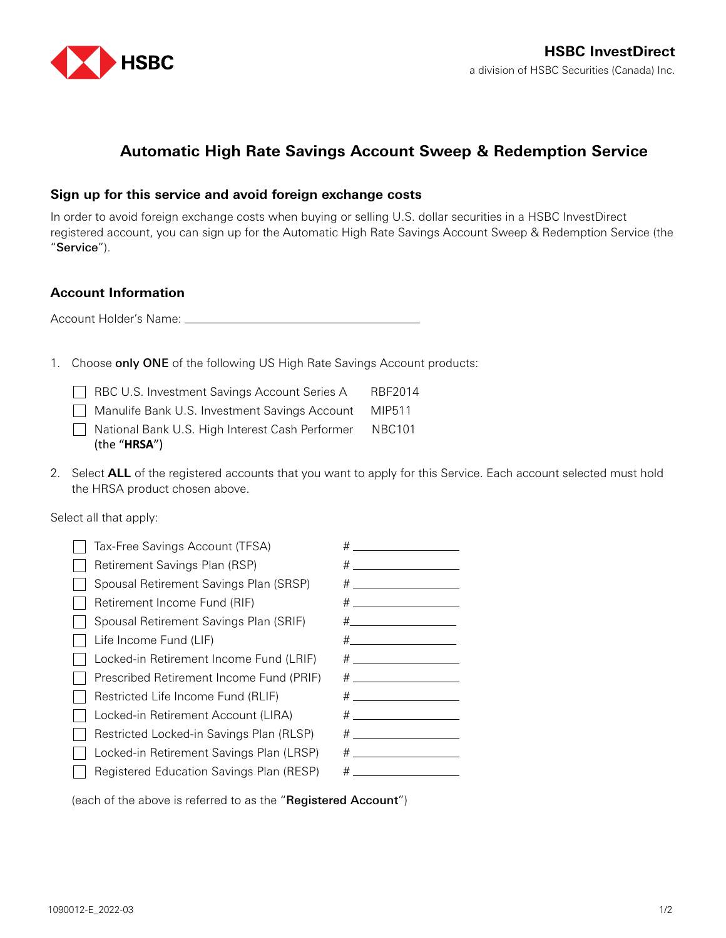

## **Automatic High Rate Savings Account Sweep & Redemption Service**

## **Sign up for this service and avoid foreign exchange costs**

In order to avoid foreign exchange costs when buying or selling U.S. dollar securities in a HSBC InvestDirect registered account, you can sign up for the Automatic High Rate Savings Account Sweep & Redemption Service (the "Service").

## **Account Information**

Account Holder's Name:

1. Choose only ONE of the following US High Rate Savings Account products:

| RBC U.S. Investment Savings Account Series A                           | RBF2014 |
|------------------------------------------------------------------------|---------|
| Manulife Bank U.S. Investment Savings Account MIP511                   |         |
| National Bank U.S. High Interest Cash Performer NBC101<br>(the "HRSA") |         |

2. Select **ALL** of the registered accounts that you want to apply for this Service. Each account selected must hold the HRSA product chosen above.

Select all that apply:

| Tax-Free Savings Account (TFSA)          | $\#$ and the set of $\#$                                                                                                                                                                                                      |
|------------------------------------------|-------------------------------------------------------------------------------------------------------------------------------------------------------------------------------------------------------------------------------|
| Retirement Savings Plan (RSP)            |                                                                                                                                                                                                                               |
| Spousal Retirement Savings Plan (SRSP)   |                                                                                                                                                                                                                               |
| Retirement Income Fund (RIF)             | $\#$ and the set of the set of the set of the set of the set of the set of the set of the set of the set of the set of the set of the set of the set of the set of the set of the set of the set of the set of the set of the |
| Spousal Retirement Savings Plan (SRIF)   |                                                                                                                                                                                                                               |
| Life Income Fund (LIF)                   |                                                                                                                                                                                                                               |
| Locked-in Retirement Income Fund (LRIF)  |                                                                                                                                                                                                                               |
| Prescribed Retirement Income Fund (PRIF) | $\#$ and the set of $\#$                                                                                                                                                                                                      |
| Restricted Life Income Fund (RLIF)       | $\#$ and the set of the set of the set of the set of the set of the set of the set of the set of the set of the set of the set of the set of the set of the set of the set of the set of the set of the set of the set of the |
| Locked-in Retirement Account (LIRA)      | $\#$ and the set of $\#$                                                                                                                                                                                                      |
| Restricted Locked-in Savings Plan (RLSP) |                                                                                                                                                                                                                               |
| Locked-in Retirement Savings Plan (LRSP) | $\#$ and the set of $\#$                                                                                                                                                                                                      |
| Registered Education Savings Plan (RESP) | $\#$ and the set of the set of the set of the set of the set of the set of the set of the set of the set of the set of the set of the set of the set of the set of the set of the set of the set of the set of the set of the |
|                                          |                                                                                                                                                                                                                               |

(each of the above is referred to as the "Registered Account")